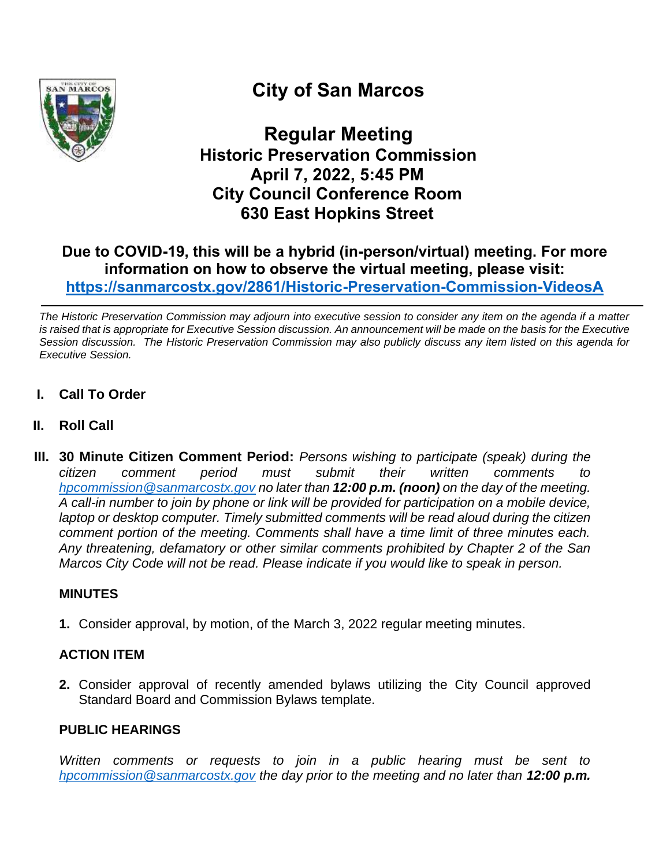

# **City of San Marcos**

**Regular Meeting Historic Preservation Commission April 7, 2022, 5:45 PM City Council Conference Room 630 East Hopkins Street**

# **Due to COVID-19, this will be a hybrid (in-person/virtual) meeting. For more information on how to observe the virtual meeting, please visit: <https://sanmarcostx.gov/2861/Historic-Preservation-Commission-VideosA>**

*The Historic Preservation Commission may adjourn into executive session to consider any item on the agenda if a matter is raised that is appropriate for Executive Session discussion. An announcement will be made on the basis for the Executive Session discussion. The Historic Preservation Commission may also publicly discuss any item listed on this agenda for Executive Session.*

- **I. Call To Order**
- **II. Roll Call**
- **III. 30 Minute Citizen Comment Period:** *Persons wishing to participate (speak) during the citizen comment period must submit their written comments to [hpcommission@sanmarcostx.gov](mailto:hpcommission@sanmarcostx.gov) no later than 12:00 p.m. (noon) on the day of the meeting. A call-in number to join by phone or link will be provided for participation on a mobile device, laptop or desktop computer. Timely submitted comments will be read aloud during the citizen comment portion of the meeting. Comments shall have a time limit of three minutes each. Any threatening, defamatory or other similar comments prohibited by Chapter 2 of the San Marcos City Code will not be read. Please indicate if you would like to speak in person.*

# **MINUTES**

**1.** Consider approval, by motion, of the March 3, 2022 regular meeting minutes.

# **ACTION ITEM**

**2.** Consider approval of recently amended bylaws utilizing the City Council approved Standard Board and Commission Bylaws template.

#### **PUBLIC HEARINGS**

*Written comments or requests to join in a public hearing must be sent to [hpcommission@sanmarcostx.gov](mailto:hpcommission@sanmarcostx.gov) the day prior to the meeting and no later than 12:00 p.m.*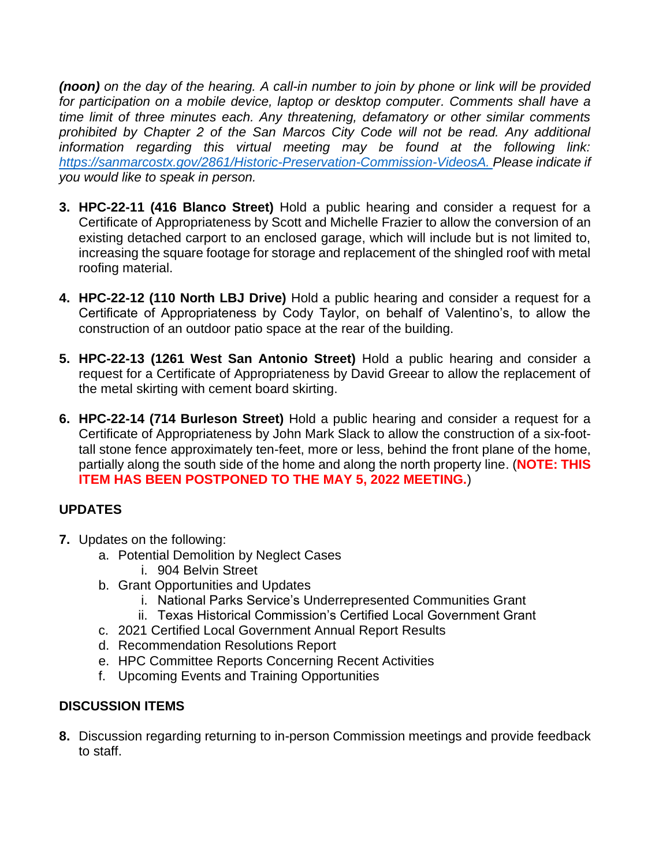*(noon) on the day of the hearing. A call-in number to join by phone or link will be provided for participation on a mobile device, laptop or desktop computer. Comments shall have a time limit of three minutes each. Any threatening, defamatory or other similar comments prohibited by Chapter 2 of the San Marcos City Code will not be read. Any additional information regarding this virtual meeting may be found at the following link: [https://sanmarcostx.gov/2861/Historic-Preservation-Commission-VideosA.](https://sanmarcostx.gov/2861/Historic-Preservation-Commission-VideosA) Please indicate if you would like to speak in person.*

- **3. HPC-22-11 (416 Blanco Street)** Hold a public hearing and consider a request for a Certificate of Appropriateness by Scott and Michelle Frazier to allow the conversion of an existing detached carport to an enclosed garage, which will include but is not limited to, increasing the square footage for storage and replacement of the shingled roof with metal roofing material.
- **4. HPC-22-12 (110 North LBJ Drive)** Hold a public hearing and consider a request for a Certificate of Appropriateness by Cody Taylor, on behalf of Valentino's, to allow the construction of an outdoor patio space at the rear of the building.
- **5. HPC-22-13 (1261 West San Antonio Street)** Hold a public hearing and consider a request for a Certificate of Appropriateness by David Greear to allow the replacement of the metal skirting with cement board skirting.
- **6. HPC-22-14 (714 Burleson Street)** Hold a public hearing and consider a request for a Certificate of Appropriateness by John Mark Slack to allow the construction of a six-foottall stone fence approximately ten-feet, more or less, behind the front plane of the home, partially along the south side of the home and along the north property line. (**NOTE: THIS ITEM HAS BEEN POSTPONED TO THE MAY 5, 2022 MEETING.**)

# **UPDATES**

- **7.** Updates on the following:
	- a. Potential Demolition by Neglect Cases
		- i. 904 Belvin Street
	- b. Grant Opportunities and Updates
		- i. National Parks Service's Underrepresented Communities Grant
		- ii. Texas Historical Commission's Certified Local Government Grant
	- c. 2021 Certified Local Government Annual Report Results
	- d. Recommendation Resolutions Report
	- e. HPC Committee Reports Concerning Recent Activities
	- f. Upcoming Events and Training Opportunities

# **DISCUSSION ITEMS**

**8.** Discussion regarding returning to in-person Commission meetings and provide feedback to staff.